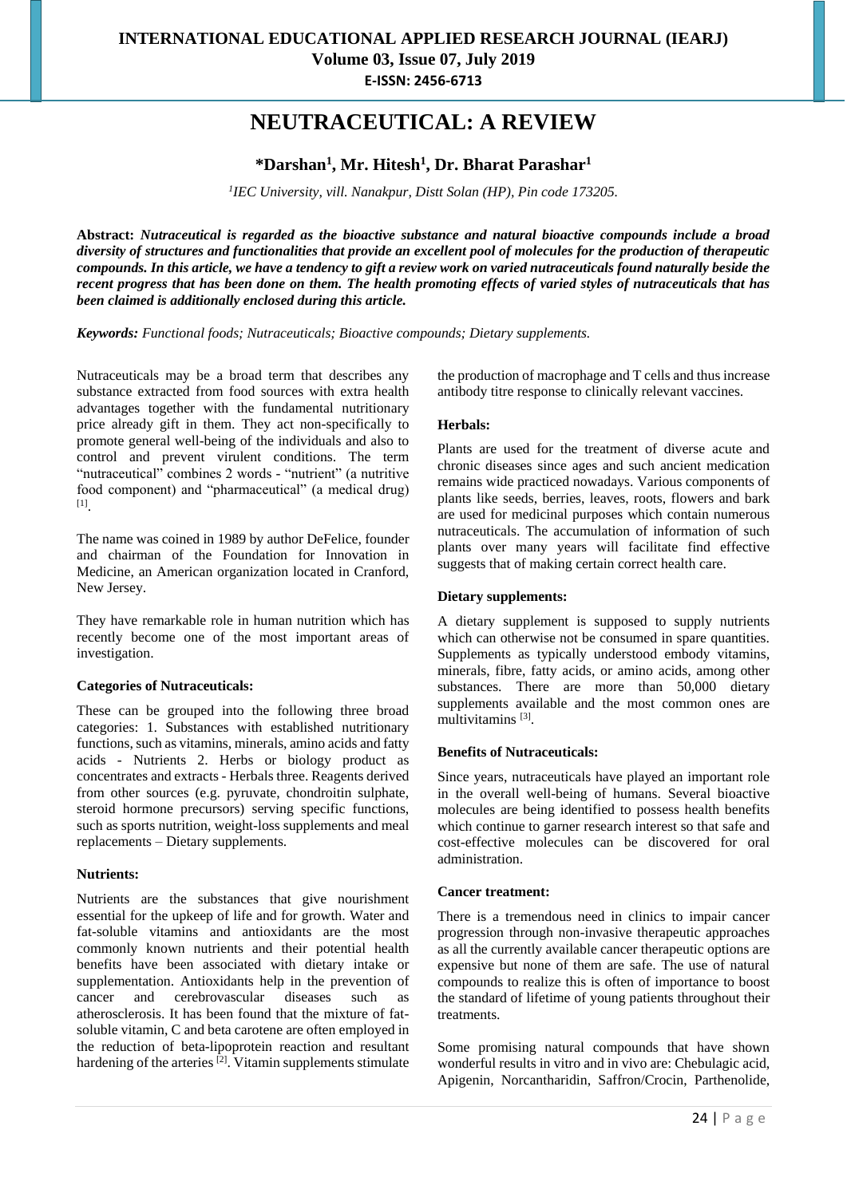# **NEUTRACEUTICAL: A REVIEW**

# **\*Darshan<sup>1</sup> , Mr. Hitesh<sup>1</sup> , Dr. Bharat Parashar<sup>1</sup>**

*1 IEC University, vill. Nanakpur, Distt Solan (HP), Pin code 173205.*

**Abstract:** *Nutraceutical is regarded as the bioactive substance and natural bioactive compounds include a broad diversity of structures and functionalities that provide an excellent pool of molecules for the production of therapeutic compounds. In this article, we have a tendency to gift a review work on varied nutraceuticals found naturally beside the recent progress that has been done on them. The health promoting effects of varied styles of nutraceuticals that has been claimed is additionally enclosed during this article.*

*Keywords: Functional foods; Nutraceuticals; Bioactive compounds; Dietary supplements.*

Nutraceuticals may be a broad term that describes any substance extracted from food sources with extra health advantages together with the fundamental nutritionary price already gift in them. They act non-specifically to promote general well-being of the individuals and also to control and prevent virulent conditions. The term "nutraceutical" combines 2 words - "nutrient" (a nutritive food component) and "pharmaceutical" (a medical drug) [1] .

The name was coined in 1989 by author DeFelice, founder and chairman of the Foundation for Innovation in Medicine, an American organization located in Cranford, New Jersey.

They have remarkable role in human nutrition which has recently become one of the most important areas of investigation.

#### **Categories of Nutraceuticals:**

These can be grouped into the following three broad categories: 1. Substances with established nutritionary functions, such as vitamins, minerals, amino acids and fatty acids - Nutrients 2. Herbs or biology product as concentrates and extracts - Herbals three. Reagents derived from other sources (e.g. pyruvate, chondroitin sulphate, steroid hormone precursors) serving specific functions, such as sports nutrition, weight-loss supplements and meal replacements – Dietary supplements.

#### **Nutrients:**

Nutrients are the substances that give nourishment essential for the upkeep of life and for growth. Water and fat-soluble vitamins and antioxidants are the most commonly known nutrients and their potential health benefits have been associated with dietary intake or supplementation. Antioxidants help in the prevention of cancer and cerebrovascular diseases such as atherosclerosis. It has been found that the mixture of fatsoluble vitamin, C and beta carotene are often employed in the reduction of beta-lipoprotein reaction and resultant hardening of the arteries  $[2]$ . Vitamin supplements stimulate

the production of macrophage and T cells and thus increase antibody titre response to clinically relevant vaccines.

### **Herbals:**

Plants are used for the treatment of diverse acute and chronic diseases since ages and such ancient medication remains wide practiced nowadays. Various components of plants like seeds, berries, leaves, roots, flowers and bark are used for medicinal purposes which contain numerous nutraceuticals. The accumulation of information of such plants over many years will facilitate find effective suggests that of making certain correct health care.

### **Dietary supplements:**

A dietary supplement is supposed to supply nutrients which can otherwise not be consumed in spare quantities. Supplements as typically understood embody vitamins, minerals, fibre, fatty acids, or amino acids, among other substances. There are more than 50,000 dietary supplements available and the most common ones are multivitamins<sup>[3]</sup>.

### **Benefits of Nutraceuticals:**

Since years, nutraceuticals have played an important role in the overall well-being of humans. Several bioactive molecules are being identified to possess health benefits which continue to garner research interest so that safe and cost-effective molecules can be discovered for oral administration.

#### **Cancer treatment:**

There is a tremendous need in clinics to impair cancer progression through non-invasive therapeutic approaches as all the currently available cancer therapeutic options are expensive but none of them are safe. The use of natural compounds to realize this is often of importance to boost the standard of lifetime of young patients throughout their treatments.

Some promising natural compounds that have shown wonderful results in vitro and in vivo are: Chebulagic acid, Apigenin, Norcantharidin, Saffron/Crocin, Parthenolide,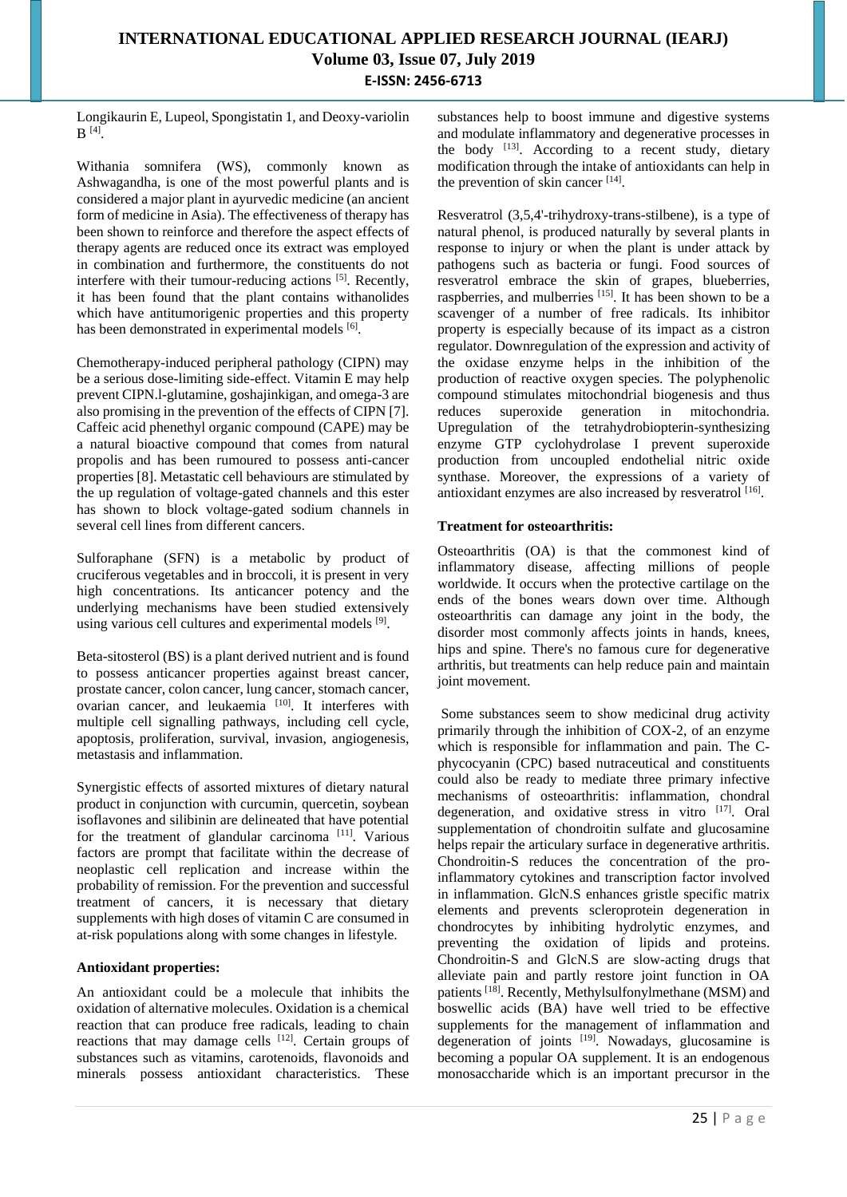Longikaurin E, Lupeol, Spongistatin 1, and Deoxy-variolin  $B^{[4]}$ .

Withania somnifera (WS), commonly known as Ashwagandha, is one of the most powerful plants and is considered a major plant in ayurvedic medicine (an ancient form of medicine in Asia). The effectiveness of therapy has been shown to reinforce and therefore the aspect effects of therapy agents are reduced once its extract was employed in combination and furthermore, the constituents do not interfere with their tumour-reducing actions [5]. Recently, it has been found that the plant contains withanolides which have antitumorigenic properties and this property has been demonstrated in experimental models [6].

Chemotherapy-induced peripheral pathology (CIPN) may be a serious dose-limiting side-effect. Vitamin E may help prevent CIPN.l-glutamine, goshajinkigan, and omega-3 are also promising in the prevention of the effects of CIPN [7]. Caffeic acid phenethyl organic compound (CAPE) may be a natural bioactive compound that comes from natural propolis and has been rumoured to possess anti-cancer properties [8]. Metastatic cell behaviours are stimulated by the up regulation of voltage-gated channels and this ester has shown to block voltage-gated sodium channels in several cell lines from different cancers.

Sulforaphane (SFN) is a metabolic by product of cruciferous vegetables and in broccoli, it is present in very high concentrations. Its anticancer potency and the underlying mechanisms have been studied extensively using various cell cultures and experimental models [9].

Beta-sitosterol (BS) is a plant derived nutrient and is found to possess anticancer properties against breast cancer, prostate cancer, colon cancer, lung cancer, stomach cancer, ovarian cancer, and leukaemia [10]. It interferes with multiple cell signalling pathways, including cell cycle, apoptosis, proliferation, survival, invasion, angiogenesis, metastasis and inflammation.

Synergistic effects of assorted mixtures of dietary natural product in conjunction with curcumin, quercetin, soybean isoflavones and silibinin are delineated that have potential for the treatment of glandular carcinoma  $[11]$ . Various factors are prompt that facilitate within the decrease of neoplastic cell replication and increase within the probability of remission. For the prevention and successful treatment of cancers, it is necessary that dietary supplements with high doses of vitamin C are consumed in at-risk populations along with some changes in lifestyle.

### **Antioxidant properties:**

An antioxidant could be a molecule that inhibits the oxidation of alternative molecules. Oxidation is a chemical reaction that can produce free radicals, leading to chain reactions that may damage cells  $[12]$ . Certain groups of substances such as vitamins, carotenoids, flavonoids and minerals possess antioxidant characteristics. These

substances help to boost immune and digestive systems and modulate inflammatory and degenerative processes in the body  $[13]$ . According to a recent study, dietary modification through the intake of antioxidants can help in the prevention of skin cancer [14].

Resveratrol (3,5,4'-trihydroxy-trans-stilbene), is a type of natural phenol, is produced naturally by several plants in response to injury or when the plant is under attack by pathogens such as bacteria or fungi. Food sources of resveratrol embrace the skin of grapes, blueberries, raspberries, and mulberries [15]. It has been shown to be a scavenger of a number of free radicals. Its inhibitor property is especially because of its impact as a cistron regulator. Downregulation of the expression and activity of the oxidase enzyme helps in the inhibition of the production of reactive oxygen species. The polyphenolic compound stimulates mitochondrial biogenesis and thus reduces superoxide generation in mitochondria. Upregulation of the tetrahydrobiopterin-synthesizing enzyme GTP cyclohydrolase I prevent superoxide production from uncoupled endothelial nitric oxide synthase. Moreover, the expressions of a variety of antioxidant enzymes are also increased by resveratrol [16].

### **Treatment for osteoarthritis:**

Osteoarthritis (OA) is that the commonest kind of inflammatory disease, affecting millions of people worldwide. It occurs when the protective cartilage on the ends of the bones wears down over time. Although osteoarthritis can damage any joint in the body, the disorder most commonly affects joints in hands, knees, hips and spine. There's no famous cure for degenerative arthritis, but treatments can help reduce pain and maintain joint movement.

Some substances seem to show medicinal drug activity primarily through the inhibition of COX-2, of an enzyme which is responsible for inflammation and pain. The Cphycocyanin (CPC) based nutraceutical and constituents could also be ready to mediate three primary infective mechanisms of osteoarthritis: inflammation, chondral degeneration, and oxidative stress in vitro [17]. Oral supplementation of chondroitin sulfate and glucosamine helps repair the articulary surface in degenerative arthritis. Chondroitin-S reduces the concentration of the proinflammatory cytokines and transcription factor involved in inflammation. GlcN.S enhances gristle specific matrix elements and prevents scleroprotein degeneration in chondrocytes by inhibiting hydrolytic enzymes, and preventing the oxidation of lipids and proteins. Chondroitin-S and GlcN.S are slow-acting drugs that alleviate pain and partly restore joint function in OA patients [18]. Recently, Methylsulfonylmethane (MSM) and boswellic acids (BA) have well tried to be effective supplements for the management of inflammation and degeneration of joints  $[19]$ . Nowadays, glucosamine is becoming a popular OA supplement. It is an endogenous monosaccharide which is an important precursor in the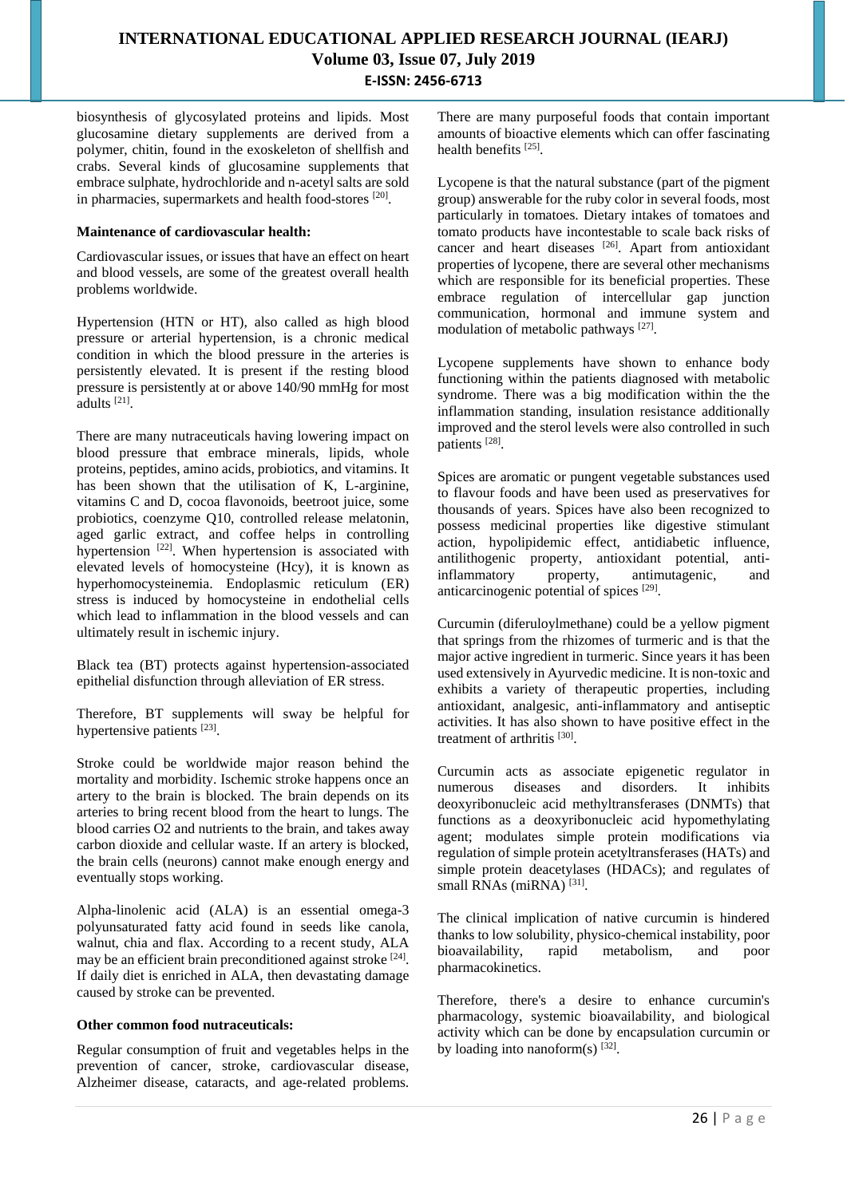biosynthesis of glycosylated proteins and lipids. Most glucosamine dietary supplements are derived from a polymer, chitin, found in the exoskeleton of shellfish and crabs. Several kinds of glucosamine supplements that embrace sulphate, hydrochloride and n-acetyl salts are sold in pharmacies, supermarkets and health food-stores [20].

#### **Maintenance of cardiovascular health:**

Cardiovascular issues, or issues that have an effect on heart and blood vessels, are some of the greatest overall health problems worldwide.

Hypertension (HTN or HT), also called as high blood pressure or arterial hypertension, is a chronic medical condition in which the blood pressure in the arteries is persistently elevated. It is present if the resting blood pressure is persistently at or above 140/90 mmHg for most adults [21] .

There are many nutraceuticals having lowering impact on blood pressure that embrace minerals, lipids, whole proteins, peptides, amino acids, probiotics, and vitamins. It has been shown that the utilisation of K, L-arginine, vitamins C and D, cocoa flavonoids, beetroot juice, some probiotics, coenzyme Q10, controlled release melatonin, aged garlic extract, and coffee helps in controlling hypertension <sup>[22]</sup>. When hypertension is associated with elevated levels of homocysteine (Hcy), it is known as hyperhomocysteinemia. Endoplasmic reticulum (ER) stress is induced by homocysteine in endothelial cells which lead to inflammation in the blood vessels and can ultimately result in ischemic injury.

Black tea (BT) protects against hypertension-associated epithelial disfunction through alleviation of ER stress.

Therefore, BT supplements will sway be helpful for hypertensive patients [23].

Stroke could be worldwide major reason behind the mortality and morbidity. Ischemic stroke happens once an artery to the brain is blocked. The brain depends on its arteries to bring recent blood from the heart to lungs. The blood carries O2 and nutrients to the brain, and takes away carbon dioxide and cellular waste. If an artery is blocked, the brain cells (neurons) cannot make enough energy and eventually stops working.

Alpha-linolenic acid (ALA) is an essential omega-3 polyunsaturated fatty acid found in seeds like canola, walnut, chia and flax. According to a recent study, ALA may be an efficient brain preconditioned against stroke [24]. If daily diet is enriched in ALA, then devastating damage caused by stroke can be prevented.

#### **Other common food nutraceuticals:**

Regular consumption of fruit and vegetables helps in the prevention of cancer, stroke, cardiovascular disease, Alzheimer disease, cataracts, and age-related problems. There are many purposeful foods that contain important amounts of bioactive elements which can offer fascinating health benefits [25].

Lycopene is that the natural substance (part of the pigment group) answerable for the ruby color in several foods, most particularly in tomatoes. Dietary intakes of tomatoes and tomato products have incontestable to scale back risks of cancer and heart diseases [26]. Apart from antioxidant properties of lycopene, there are several other mechanisms which are responsible for its beneficial properties. These embrace regulation of intercellular gap junction communication, hormonal and immune system and modulation of metabolic pathways [27].

Lycopene supplements have shown to enhance body functioning within the patients diagnosed with metabolic syndrome. There was a big modification within the the inflammation standing, insulation resistance additionally improved and the sterol levels were also controlled in such patients [28] .

Spices are aromatic or pungent vegetable substances used to flavour foods and have been used as preservatives for thousands of years. Spices have also been recognized to possess medicinal properties like digestive stimulant action, hypolipidemic effect, antidiabetic influence, antilithogenic property, antioxidant potential, antiinflammatory property, antimutagenic, and anticarcinogenic potential of spices [29].

Curcumin (diferuloylmethane) could be a yellow pigment that springs from the rhizomes of turmeric and is that the major active ingredient in turmeric. Since years it has been used extensively in Ayurvedic medicine. It is non-toxic and exhibits a variety of therapeutic properties, including antioxidant, analgesic, anti-inflammatory and antiseptic activities. It has also shown to have positive effect in the treatment of arthritis<sup>[30]</sup>.

Curcumin acts as associate epigenetic regulator in numerous diseases and disorders. It inhibits deoxyribonucleic acid methyltransferases (DNMTs) that functions as a deoxyribonucleic acid hypomethylating agent; modulates simple protein modifications via regulation of simple protein acetyltransferases (HATs) and simple protein deacetylases (HDACs); and regulates of small RNAs (miRNA)<sup>[31]</sup>.

The clinical implication of native curcumin is hindered thanks to low solubility, physico-chemical instability, poor bioavailability, rapid metabolism, and poor pharmacokinetics.

Therefore, there's a desire to enhance curcumin's pharmacology, systemic bioavailability, and biological activity which can be done by encapsulation curcumin or by loading into nanoform(s)  $[32]$ .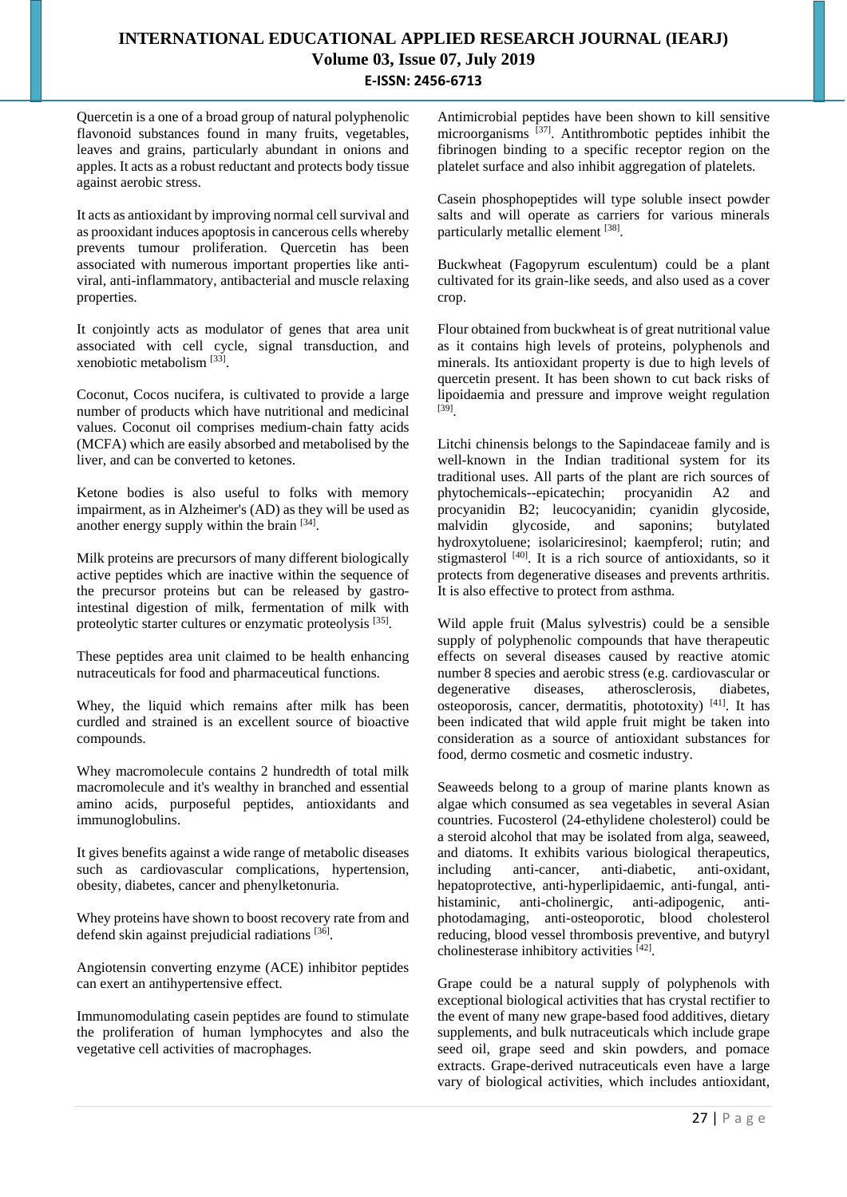Quercetin is a one of a broad group of natural polyphenolic flavonoid substances found in many fruits, vegetables, leaves and grains, particularly abundant in onions and apples. It acts as a robust reductant and protects body tissue against aerobic stress.

It acts as antioxidant by improving normal cell survival and as prooxidant induces apoptosis in cancerous cells whereby prevents tumour proliferation. Quercetin has been associated with numerous important properties like antiviral, anti-inflammatory, antibacterial and muscle relaxing properties.

It conjointly acts as modulator of genes that area unit associated with cell cycle, signal transduction, and xenobiotic metabolism [33] .

Coconut, Cocos nucifera, is cultivated to provide a large number of products which have nutritional and medicinal values. Coconut oil comprises medium-chain fatty acids (MCFA) which are easily absorbed and metabolised by the liver, and can be converted to ketones.

Ketone bodies is also useful to folks with memory impairment, as in Alzheimer's (AD) as they will be used as another energy supply within the brain [34].

Milk proteins are precursors of many different biologically active peptides which are inactive within the sequence of the precursor proteins but can be released by gastrointestinal digestion of milk, fermentation of milk with proteolytic starter cultures or enzymatic proteolysis [35].

These peptides area unit claimed to be health enhancing nutraceuticals for food and pharmaceutical functions.

Whey, the liquid which remains after milk has been curdled and strained is an excellent source of bioactive compounds.

Whey macromolecule contains 2 hundredth of total milk macromolecule and it's wealthy in branched and essential amino acids, purposeful peptides, antioxidants and immunoglobulins.

It gives benefits against a wide range of metabolic diseases such as cardiovascular complications, hypertension, obesity, diabetes, cancer and phenylketonuria.

Whey proteins have shown to boost recovery rate from and defend skin against prejudicial radiations [36].

Angiotensin converting enzyme (ACE) inhibitor peptides can exert an antihypertensive effect.

Immunomodulating casein peptides are found to stimulate the proliferation of human lymphocytes and also the vegetative cell activities of macrophages.

Antimicrobial peptides have been shown to kill sensitive microorganisms [37]. Antithrombotic peptides inhibit the fibrinogen binding to a specific receptor region on the platelet surface and also inhibit aggregation of platelets.

Casein phosphopeptides will type soluble insect powder salts and will operate as carriers for various minerals particularly metallic element [38].

Buckwheat (Fagopyrum esculentum) could be a plant cultivated for its grain-like seeds, and also used as a cover crop.

Flour obtained from buckwheat is of great nutritional value as it contains high levels of proteins, polyphenols and minerals. Its antioxidant property is due to high levels of quercetin present. It has been shown to cut back risks of lipoidaemia and pressure and improve weight regulation [39] .

Litchi chinensis belongs to the Sapindaceae family and is well-known in the Indian traditional system for its traditional uses. All parts of the plant are rich sources of phytochemicals--epicatechin; procyanidin A2 and procyanidin B2; leucocyanidin; cyanidin glycoside, malvidin glycoside, and saponins; butylated hydroxytoluene; isolariciresinol; kaempferol; rutin; and stigmasterol  $[40]$ . It is a rich source of antioxidants, so it protects from degenerative diseases and prevents arthritis. It is also effective to protect from asthma.

Wild apple fruit (Malus sylvestris) could be a sensible supply of polyphenolic compounds that have therapeutic effects on several diseases caused by reactive atomic number 8 species and aerobic stress (e.g. cardiovascular or degenerative diseases, atherosclerosis, diabetes, osteoporosis, cancer, dermatitis, phototoxity) [41]. It has been indicated that wild apple fruit might be taken into consideration as a source of antioxidant substances for food, dermo cosmetic and cosmetic industry.

Seaweeds belong to a group of marine plants known as algae which consumed as sea vegetables in several Asian countries. Fucosterol (24-ethylidene cholesterol) could be a steroid alcohol that may be isolated from alga, seaweed, and diatoms. It exhibits various biological therapeutics, including anti-cancer, anti-diabetic, anti-oxidant, hepatoprotective, anti-hyperlipidaemic, anti-fungal, antihistaminic, anti-cholinergic, anti-adipogenic, antiphotodamaging, anti-osteoporotic, blood cholesterol reducing, blood vessel thrombosis preventive, and butyryl cholinesterase inhibitory activities [42] .

Grape could be a natural supply of polyphenols with exceptional biological activities that has crystal rectifier to the event of many new grape-based food additives, dietary supplements, and bulk nutraceuticals which include grape seed oil, grape seed and skin powders, and pomace extracts. Grape-derived nutraceuticals even have a large vary of biological activities, which includes antioxidant,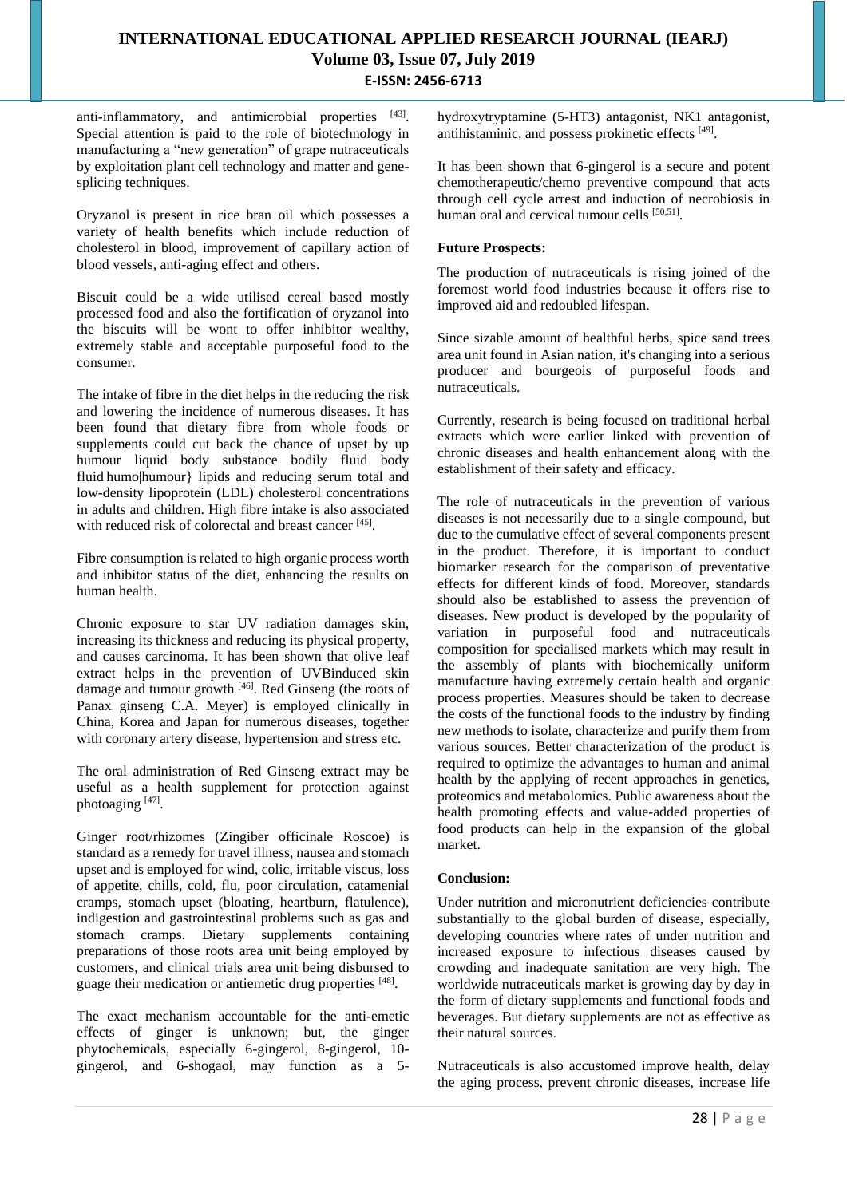anti-inflammatory, and antimicrobial properties [43]. Special attention is paid to the role of biotechnology in manufacturing a "new generation" of grape nutraceuticals by exploitation plant cell technology and matter and genesplicing techniques.

Oryzanol is present in rice bran oil which possesses a variety of health benefits which include reduction of cholesterol in blood, improvement of capillary action of blood vessels, anti-aging effect and others.

Biscuit could be a wide utilised cereal based mostly processed food and also the fortification of oryzanol into the biscuits will be wont to offer inhibitor wealthy, extremely stable and acceptable purposeful food to the consumer.

The intake of fibre in the diet helps in the reducing the risk and lowering the incidence of numerous diseases. It has been found that dietary fibre from whole foods or supplements could cut back the chance of upset by up humour liquid body substance bodily fluid body fluid|humo|humour} lipids and reducing serum total and low-density lipoprotein (LDL) cholesterol concentrations in adults and children. High fibre intake is also associated with reduced risk of colorectal and breast cancer [45].

Fibre consumption is related to high organic process worth and inhibitor status of the diet, enhancing the results on human health.

Chronic exposure to star UV radiation damages skin, increasing its thickness and reducing its physical property, and causes carcinoma. It has been shown that olive leaf extract helps in the prevention of UVBinduced skin damage and tumour growth [46]. Red Ginseng (the roots of Panax ginseng C.A. Meyer) is employed clinically in China, Korea and Japan for numerous diseases, together with coronary artery disease, hypertension and stress etc.

The oral administration of Red Ginseng extract may be useful as a health supplement for protection against photoaging [47].

Ginger root/rhizomes (Zingiber officinale Roscoe) is standard as a remedy for travel illness, nausea and stomach upset and is employed for wind, colic, irritable viscus, loss of appetite, chills, cold, flu, poor circulation, catamenial cramps, stomach upset (bloating, heartburn, flatulence), indigestion and gastrointestinal problems such as gas and stomach cramps. Dietary supplements containing preparations of those roots area unit being employed by customers, and clinical trials area unit being disbursed to guage their medication or antiemetic drug properties [48].

The exact mechanism accountable for the anti-emetic effects of ginger is unknown; but, the ginger phytochemicals, especially 6-gingerol, 8-gingerol, 10 gingerol, and 6-shogaol, may function as a 5hydroxytryptamine (5-HT3) antagonist, NK1 antagonist, antihistaminic, and possess prokinetic effects [49].

It has been shown that 6-gingerol is a secure and potent chemotherapeutic/chemo preventive compound that acts through cell cycle arrest and induction of necrobiosis in human oral and cervical tumour cells [50,51].

### **Future Prospects:**

The production of nutraceuticals is rising joined of the foremost world food industries because it offers rise to improved aid and redoubled lifespan.

Since sizable amount of healthful herbs, spice sand trees area unit found in Asian nation, it's changing into a serious producer and bourgeois of purposeful foods and nutraceuticals.

Currently, research is being focused on traditional herbal extracts which were earlier linked with prevention of chronic diseases and health enhancement along with the establishment of their safety and efficacy.

The role of nutraceuticals in the prevention of various diseases is not necessarily due to a single compound, but due to the cumulative effect of several components present in the product. Therefore, it is important to conduct biomarker research for the comparison of preventative effects for different kinds of food. Moreover, standards should also be established to assess the prevention of diseases. New product is developed by the popularity of variation in purposeful food and nutraceuticals composition for specialised markets which may result in the assembly of plants with biochemically uniform manufacture having extremely certain health and organic process properties. Measures should be taken to decrease the costs of the functional foods to the industry by finding new methods to isolate, characterize and purify them from various sources. Better characterization of the product is required to optimize the advantages to human and animal health by the applying of recent approaches in genetics, proteomics and metabolomics. Public awareness about the health promoting effects and value-added properties of food products can help in the expansion of the global market.

#### **Conclusion:**

Under nutrition and micronutrient deficiencies contribute substantially to the global burden of disease, especially, developing countries where rates of under nutrition and increased exposure to infectious diseases caused by crowding and inadequate sanitation are very high. The worldwide nutraceuticals market is growing day by day in the form of dietary supplements and functional foods and beverages. But dietary supplements are not as effective as their natural sources.

Nutraceuticals is also accustomed improve health, delay the aging process, prevent chronic diseases, increase life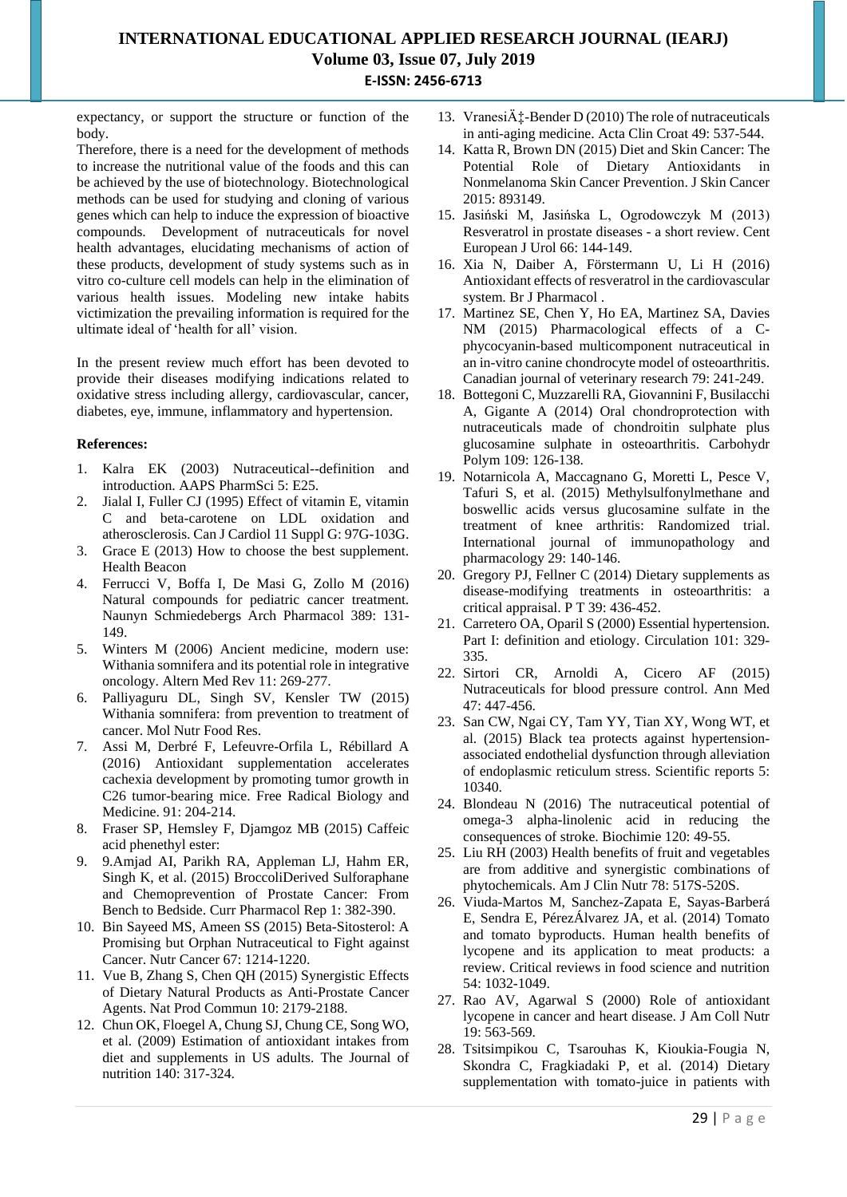expectancy, or support the structure or function of the body.

Therefore, there is a need for the development of methods to increase the nutritional value of the foods and this can be achieved by the use of biotechnology. Biotechnological methods can be used for studying and cloning of various genes which can help to induce the expression of bioactive compounds. Development of nutraceuticals for novel health advantages, elucidating mechanisms of action of these products, development of study systems such as in vitro co-culture cell models can help in the elimination of various health issues. Modeling new intake habits victimization the prevailing information is required for the ultimate ideal of 'health for all' vision.

In the present review much effort has been devoted to provide their diseases modifying indications related to oxidative stress including allergy, cardiovascular, cancer, diabetes, eye, immune, inflammatory and hypertension.

### **References:**

- 1. Kalra EK (2003) Nutraceutical--definition and introduction. AAPS PharmSci 5: E25.
- 2. Jialal I, Fuller CJ (1995) Effect of vitamin E, vitamin C and beta-carotene on LDL oxidation and atherosclerosis. Can J Cardiol 11 Suppl G: 97G-103G.
- 3. Grace E (2013) How to choose the best supplement. Health Beacon
- 4. Ferrucci V, Boffa I, De Masi G, Zollo M (2016) Natural compounds for pediatric cancer treatment. Naunyn Schmiedebergs Arch Pharmacol 389: 131- 149.
- 5. Winters M (2006) Ancient medicine, modern use: Withania somnifera and its potential role in integrative oncology. Altern Med Rev 11: 269-277.
- 6. Palliyaguru DL, Singh SV, Kensler TW (2015) Withania somnifera: from prevention to treatment of cancer. Mol Nutr Food Res.
- 7. Assi M, Derbré F, Lefeuvre-Orfila L, Rébillard A (2016) Antioxidant supplementation accelerates cachexia development by promoting tumor growth in C26 tumor-bearing mice. Free Radical Biology and Medicine. 91: 204-214.
- 8. Fraser SP, Hemsley F, Djamgoz MB (2015) Caffeic acid phenethyl ester:
- 9. 9.Amjad AI, Parikh RA, Appleman LJ, Hahm ER, Singh K, et al. (2015) BroccoliDerived Sulforaphane and Chemoprevention of Prostate Cancer: From Bench to Bedside. Curr Pharmacol Rep 1: 382-390.
- 10. Bin Sayeed MS, Ameen SS (2015) Beta-Sitosterol: A Promising but Orphan Nutraceutical to Fight against Cancer. Nutr Cancer 67: 1214-1220.
- 11. Vue B, Zhang S, Chen QH (2015) Synergistic Effects of Dietary Natural Products as Anti-Prostate Cancer Agents. Nat Prod Commun 10: 2179-2188.
- 12. Chun OK, Floegel A, Chung SJ, Chung CE, Song WO, et al. (2009) Estimation of antioxidant intakes from diet and supplements in US adults. The Journal of nutrition 140: 317-324.
- 13. Vranesi $\ddot{A}$ : Bender D (2010) The role of nutraceuticals in anti-aging medicine. Acta Clin Croat 49: 537-544.
- 14. Katta R, Brown DN (2015) Diet and Skin Cancer: The Potential Role of Dietary Antioxidants in Nonmelanoma Skin Cancer Prevention. J Skin Cancer 2015: 893149.
- 15. Jasiński M, Jasińska L, Ogrodowczyk M (2013) Resveratrol in prostate diseases - a short review. Cent European J Urol 66: 144-149.
- 16. Xia N, Daiber A, Förstermann U, Li H (2016) Antioxidant effects of resveratrol in the cardiovascular system. Br J Pharmacol .
- 17. Martinez SE, Chen Y, Ho EA, Martinez SA, Davies NM (2015) Pharmacological effects of a Cphycocyanin-based multicomponent nutraceutical in an in-vitro canine chondrocyte model of osteoarthritis. Canadian journal of veterinary research 79: 241-249.
- 18. Bottegoni C, Muzzarelli RA, Giovannini F, Busilacchi A, Gigante A (2014) Oral chondroprotection with nutraceuticals made of chondroitin sulphate plus glucosamine sulphate in osteoarthritis. Carbohydr Polym 109: 126-138.
- 19. Notarnicola A, Maccagnano G, Moretti L, Pesce V, Tafuri S, et al. (2015) Methylsulfonylmethane and boswellic acids versus glucosamine sulfate in the treatment of knee arthritis: Randomized trial. International journal of immunopathology and pharmacology 29: 140-146.
- 20. Gregory PJ, Fellner C (2014) Dietary supplements as disease-modifying treatments in osteoarthritis: a critical appraisal. P T 39: 436-452.
- 21. Carretero OA, Oparil S (2000) Essential hypertension. Part I: definition and etiology. Circulation 101: 329- 335.
- 22. Sirtori CR, Arnoldi A, Cicero AF (2015) Nutraceuticals for blood pressure control. Ann Med 47: 447-456.
- 23. San CW, Ngai CY, Tam YY, Tian XY, Wong WT, et al. (2015) Black tea protects against hypertensionassociated endothelial dysfunction through alleviation of endoplasmic reticulum stress. Scientific reports 5: 10340.
- 24. Blondeau N (2016) The nutraceutical potential of omega-3 alpha-linolenic acid in reducing the consequences of stroke. Biochimie 120: 49-55.
- 25. Liu RH (2003) Health benefits of fruit and vegetables are from additive and synergistic combinations of phytochemicals. Am J Clin Nutr 78: 517S-520S.
- 26. Viuda-Martos M, Sanchez-Zapata E, Sayas-Barberá E, Sendra E, PérezÁlvarez JA, et al. (2014) Tomato and tomato byproducts. Human health benefits of lycopene and its application to meat products: a review. Critical reviews in food science and nutrition 54: 1032-1049.
- 27. Rao AV, Agarwal S (2000) Role of antioxidant lycopene in cancer and heart disease. J Am Coll Nutr 19: 563-569.
- 28. Tsitsimpikou C, Tsarouhas K, Kioukia-Fougia N, Skondra C, Fragkiadaki P, et al. (2014) Dietary supplementation with tomato-juice in patients with